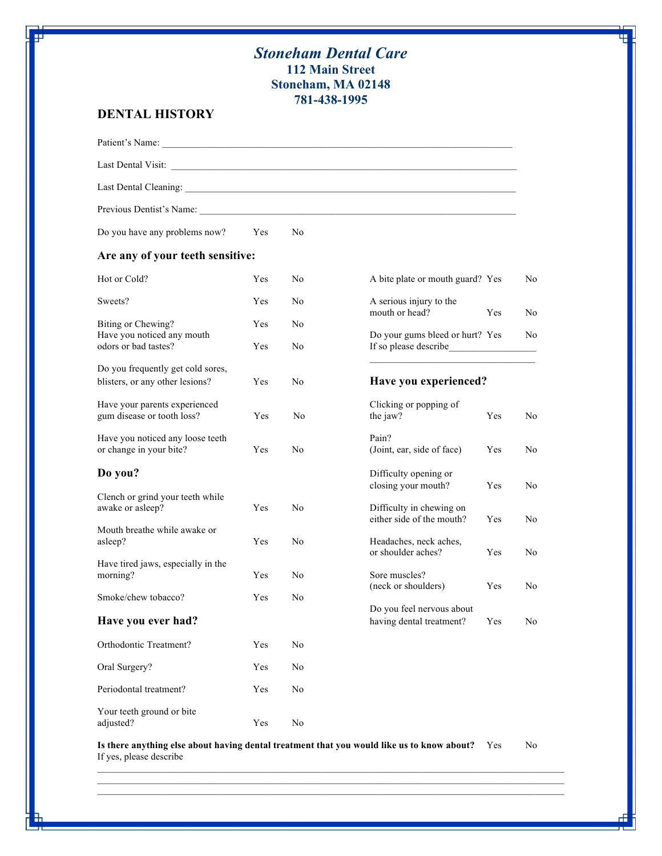## *Stoneham Dental Care* **112 Main Street Stoneham, MA 02148 781-438-1995**

## **DENTAL HISTORY**

| Previous Dentist's Name:                                             |     |                |                                                              |     |
|----------------------------------------------------------------------|-----|----------------|--------------------------------------------------------------|-----|
| Do you have any problems now?                                        | Yes | N <sub>0</sub> |                                                              |     |
| Are any of your teeth sensitive:                                     |     |                |                                                              |     |
| Hot or Cold?                                                         | Yes | N <sub>0</sub> | A bite plate or mouth guard? Yes                             | No. |
| Sweets?                                                              | Yes | N <sub>0</sub> | A serious injury to the<br>mouth or head?<br>Yes             | No. |
| Biting or Chewing?                                                   | Yes | N <sub>0</sub> |                                                              |     |
| Have you noticed any mouth<br>odors or bad tastes?                   | Yes | N <sub>0</sub> | Do your gums bleed or hurt? Yes<br>If so please describe     | No  |
| Do you frequently get cold sores,<br>blisters, or any other lesions? | Yes | N <sub>0</sub> | Have you experienced?                                        |     |
| Have your parents experienced<br>gum disease or tooth loss?          | Yes | No             | Clicking or popping of<br>the jaw?<br>Yes                    | No  |
| Have you noticed any loose teeth<br>or change in your bite?          | Yes | N <sub>0</sub> | Pain?<br>(Joint, ear, side of face)<br>Yes                   | No. |
| Do you?                                                              |     |                | Difficulty opening or<br>closing your mouth?<br>Yes          | No. |
| Clench or grind your teeth while<br>awake or asleep?                 | Yes | N <sub>0</sub> | Difficulty in chewing on<br>either side of the mouth?<br>Yes | No. |
| Mouth breathe while awake or<br>asleep?                              | Yes | N <sub>0</sub> | Headaches, neck aches,<br>or shoulder aches?<br>Yes          | No. |
| Have tired jaws, especially in the<br>morning?                       | Yes | No             | Sore muscles?<br>(neck or shoulders)<br>Yes                  | No  |
| Smoke/chew tobacco?                                                  | Yes | N <sub>0</sub> | Do you feel nervous about                                    |     |
| Have you ever had?                                                   |     |                | having dental treatment?<br>Yes                              | No  |
| Orthodontic Treatment?                                               | Yes | No             |                                                              |     |
| Oral Surgery?                                                        | Yes | No             |                                                              |     |
| Periodontal treatment?                                               | Yes | N <sub>0</sub> |                                                              |     |
| Your teeth ground or bite<br>adjusted?                               | Yes | No             |                                                              |     |

Is there anything else about having dental treatment that you would like us to know about? Yes No If yes, please describe

 $\mathcal{L}_\text{max}$